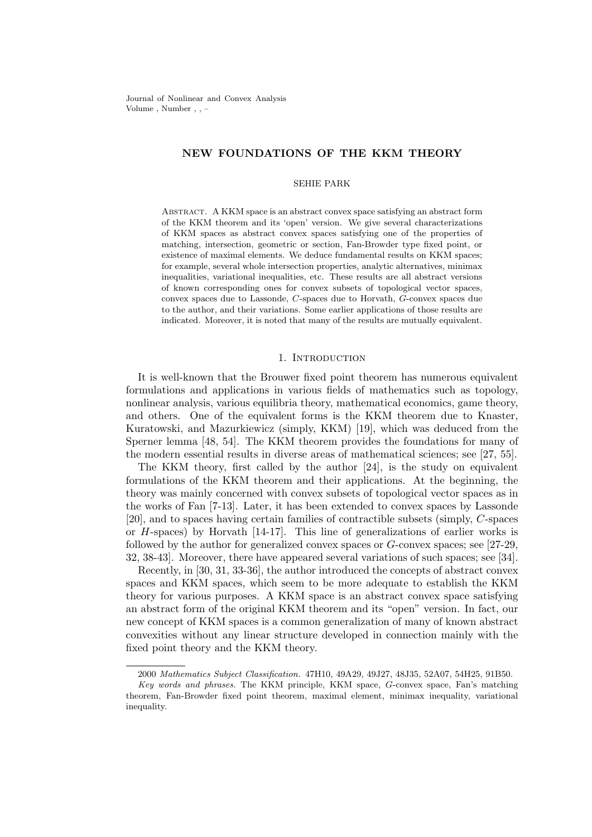Journal of Nonlinear and Convex Analysis Volume , Number , , –

## **NEW FOUNDATIONS OF THE KKM THEORY**

### SEHIE PARK

Abstract. A KKM space is an abstract convex space satisfying an abstract form of the KKM theorem and its 'open' version. We give several characterizations of KKM spaces as abstract convex spaces satisfying one of the properties of matching, intersection, geometric or section, Fan-Browder type fixed point, or existence of maximal elements. We deduce fundamental results on KKM spaces; for example, several whole intersection properties, analytic alternatives, minimax inequalities, variational inequalities, etc. These results are all abstract versions of known corresponding ones for convex subsets of topological vector spaces, convex spaces due to Lassonde, *C*-spaces due to Horvath, *G*-convex spaces due to the author, and their variations. Some earlier applications of those results are indicated. Moreover, it is noted that many of the results are mutually equivalent.

# 1. INTRODUCTION

It is well-known that the Brouwer fixed point theorem has numerous equivalent formulations and applications in various fields of mathematics such as topology, nonlinear analysis, various equilibria theory, mathematical economics, game theory, and others. One of the equivalent forms is the KKM theorem due to Knaster, Kuratowski, and Mazurkiewicz (simply, KKM) [19], which was deduced from the Sperner lemma [48, 54]. The KKM theorem provides the foundations for many of the modern essential results in diverse areas of mathematical sciences; see [27, 55].

The KKM theory, first called by the author [24], is the study on equivalent formulations of the KKM theorem and their applications. At the beginning, the theory was mainly concerned with convex subsets of topological vector spaces as in the works of Fan [7-13]. Later, it has been extended to convex spaces by Lassonde [20], and to spaces having certain families of contractible subsets (simply, *C*-spaces or *H*-spaces) by Horvath [14-17]. This line of generalizations of earlier works is followed by the author for generalized convex spaces or *G*-convex spaces; see [27-29, 32, 38-43]. Moreover, there have appeared several variations of such spaces; see [34].

Recently, in [30, 31, 33-36], the author introduced the concepts of abstract convex spaces and KKM spaces, which seem to be more adequate to establish the KKM theory for various purposes. A KKM space is an abstract convex space satisfying an abstract form of the original KKM theorem and its "open" version. In fact, our new concept of KKM spaces is a common generalization of many of known abstract convexities without any linear structure developed in connection mainly with the fixed point theory and the KKM theory.

<sup>2000</sup> *Mathematics Subject Classification.* 47H10, 49A29, 49J27, 48J35, 52A07, 54H25, 91B50.

*Key words and phrases.* The KKM principle, KKM space, *G*-convex space, Fan's matching theorem, Fan-Browder fixed point theorem, maximal element, minimax inequality, variational inequality.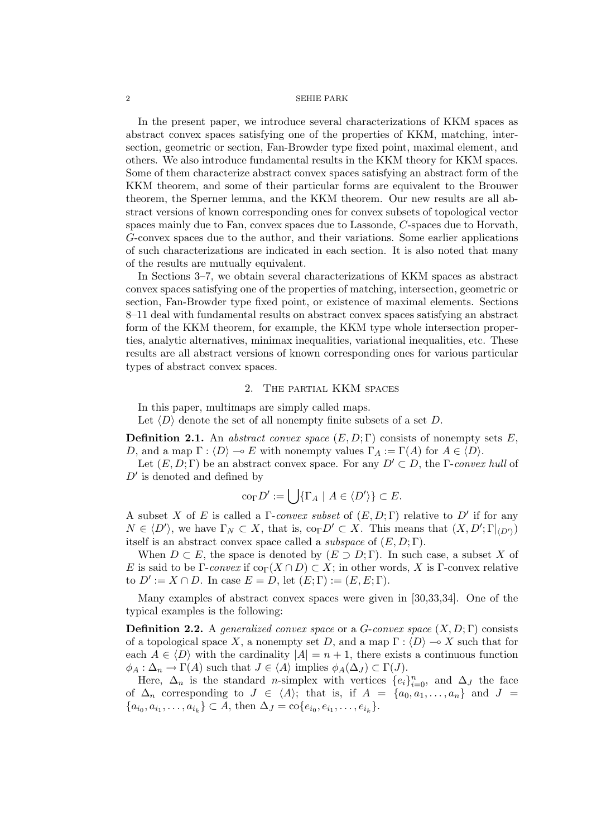In the present paper, we introduce several characterizations of KKM spaces as abstract convex spaces satisfying one of the properties of KKM, matching, intersection, geometric or section, Fan-Browder type fixed point, maximal element, and others. We also introduce fundamental results in the KKM theory for KKM spaces. Some of them characterize abstract convex spaces satisfying an abstract form of the KKM theorem, and some of their particular forms are equivalent to the Brouwer theorem, the Sperner lemma, and the KKM theorem. Our new results are all abstract versions of known corresponding ones for convex subsets of topological vector spaces mainly due to Fan, convex spaces due to Lassonde, *C*-spaces due to Horvath, *G*-convex spaces due to the author, and their variations. Some earlier applications of such characterizations are indicated in each section. It is also noted that many of the results are mutually equivalent.

In Sections 3–7, we obtain several characterizations of KKM spaces as abstract convex spaces satisfying one of the properties of matching, intersection, geometric or section, Fan-Browder type fixed point, or existence of maximal elements. Sections 8–11 deal with fundamental results on abstract convex spaces satisfying an abstract form of the KKM theorem, for example, the KKM type whole intersection properties, analytic alternatives, minimax inequalities, variational inequalities, etc. These results are all abstract versions of known corresponding ones for various particular types of abstract convex spaces.

# 2. The partial KKM spaces

In this paper, multimaps are simply called maps.

Let  $\langle D \rangle$  denote the set of all nonempty finite subsets of a set *D*.

**Definition 2.1.** An *abstract convex space* (*E, D*; Γ) consists of nonempty sets *E*, *D*, and a map  $\Gamma : \langle D \rangle \to E$  with nonempty values  $\Gamma_A := \Gamma(A)$  for  $A \in \langle D \rangle$ .

Let  $(E, D; \Gamma)$  be an abstract convex space. For any  $D' \subset D$ , the Γ-*convex hull* of *D′* is denoted and defined by

$$
\operatorname{co}_{\Gamma} D' := \bigcup \{ \Gamma_A \mid A \in \langle D' \rangle \} \subset E.
$$

A subset *X* of *E* is called a Γ-*convex subset* of (*E, D*; Γ) relative to *D′* if for any  $N \in \langle D' \rangle$ , we have  $\Gamma_N \subset X$ , that is,  $\text{co}_{\Gamma} D' \subset X$ . This means that  $(X, D'; \Gamma|_{\langle D' \rangle})$ itself is an abstract convex space called a *subspace* of (*E, D*; Γ).

When  $D \subset E$ , the space is denoted by  $(E \supset D; \Gamma)$ . In such case, a subset X of *E* is said to be Γ-*convex* if  $\text{co}_{\Gamma}(X \cap D) \subset X$ ; in other words, X is Γ-convex relative  $\text{to } D' := X \cap D.$  In case  $E = D$ , let  $(E; \Gamma) := (E, E; \Gamma).$ 

Many examples of abstract convex spaces were given in [30,33,34]. One of the typical examples is the following:

**Definition 2.2.** A *generalized convex space* or a *G*-*convex space* (*X, D*; Γ) consists of a topological space X, a nonempty set D, and a map  $\Gamma : \langle D \rangle \longrightarrow X$  such that for each  $A \in \langle D \rangle$  with the cardinality  $|A| = n + 1$ , there exists a continuous function  $\phi_A : \Delta_n \to \Gamma(A)$  such that  $J \in \langle A \rangle$  implies  $\phi_A(\Delta_J) \subset \Gamma(J)$ .

Here,  $\Delta_n$  is the standard *n*-simplex with vertices  $\{e_i\}_{i=0}^n$ , and  $\Delta_j$  the face of  $\Delta_n$  corresponding to  $J \in \langle A \rangle$ ; that is, if  $A = \{a_0, a_1, \ldots, a_n\}$  and  $J =$  ${a_{i_0}, a_{i_1}, \ldots, a_{i_k}} \subset A$ , then  $\Delta_J = \text{co}\{e_{i_0}, e_{i_1}, \ldots, e_{i_k}\}.$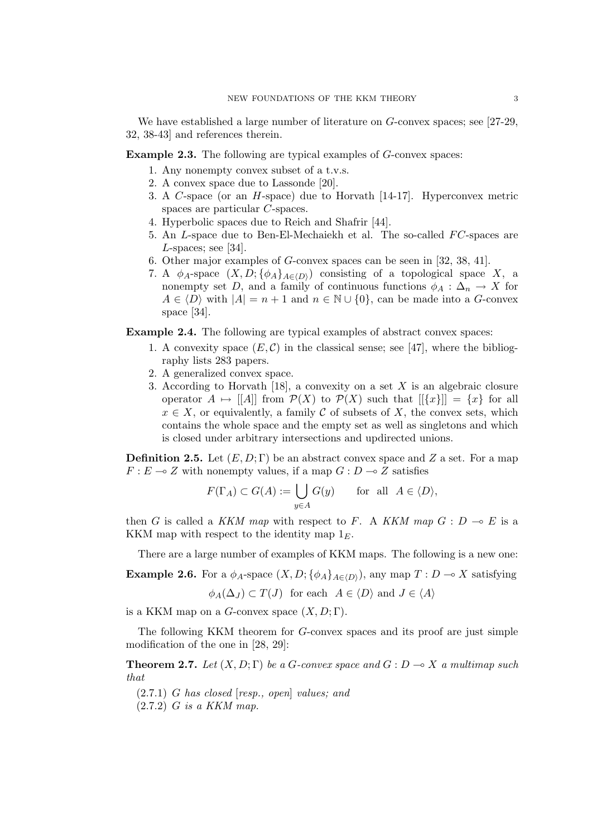We have established a large number of literature on *G*-convex spaces; see [27-29, 32, 38-43] and references therein.

**Example 2.3.** The following are typical examples of *G*-convex spaces:

- 1. Any nonempty convex subset of a t.v.s.
- 2. A convex space due to Lassonde [20].
- 3. A *C*-space (or an *H*-space) due to Horvath [14-17]. Hyperconvex metric spaces are particular *C*-spaces.
- 4. Hyperbolic spaces due to Reich and Shafrir [44].
- 5. An *L*-space due to Ben-El-Mechaiekh et al. The so-called *FC*-spaces are *L*-spaces; see [34].
- 6. Other major examples of *G*-convex spaces can be seen in [32, 38, 41].
- 7. A  $\phi_A$ -space  $(X, D; {\phi_A}_{A \in \langle D \rangle})$  consisting of a topological space X, a nonempty set *D*, and a family of continuous functions  $\phi_A : \Delta_n \to X$  for  $A \in \langle D \rangle$  with  $|A| = n + 1$  and  $n \in \mathbb{N} \cup \{0\}$ , can be made into a *G*-convex space [34].

**Example 2.4.** The following are typical examples of abstract convex spaces:

- 1. A convexity space  $(E, \mathcal{C})$  in the classical sense; see [47], where the bibliography lists 283 papers.
- 2. A generalized convex space.
- 3. According to Horvath [18], a convexity on a set *X* is an algebraic closure operator  $A \mapsto |[A]|$  from  $\mathcal{P}(X)$  to  $\mathcal{P}(X)$  such that  $|[\{x\}]| = \{x\}$  for all  $x \in X$ , or equivalently, a family  $\mathcal C$  of subsets of  $X$ , the convex sets, which contains the whole space and the empty set as well as singletons and which is closed under arbitrary intersections and updirected unions.

**Definition 2.5.** Let  $(E, D; \Gamma)$  be an abstract convex space and Z a set. For a map  $F: E \to Z$  with nonempty values, if a map  $G: D \to Z$  satisfies

$$
F(\Gamma_A) \subset G(A) := \bigcup_{y \in A} G(y) \quad \text{for all } A \in \langle D \rangle,
$$

then *G* is called a *KKM map* with respect to *F*. A *KKM map*  $G: D \to E$  is a KKM map with respect to the identity map 1*E*.

There are a large number of examples of KKM maps. The following is a new one:

**Example 2.6.** For a  $\phi_A$ -space  $(X, D; {\phi_A}_{A \in (D)})$ , any map  $T: D \to X$  satisfying

$$
\phi_A(\Delta_J) \subset T(J)
$$
 for each  $A \in \langle D \rangle$  and  $J \in \langle A \rangle$ 

is a KKM map on a *G*-convex space  $(X, D; \Gamma)$ .

The following KKM theorem for *G*-convex spaces and its proof are just simple modification of the one in [28, 29]:

**Theorem 2.7.** Let  $(X, D; \Gamma)$  be a *G*-convex space and  $G: D \to X$  *a multimap such that*

(2*.*7*.*1) *G has closed* [*resp., open*] *values; and*

(2*.*7*.*2) *G is a KKM map.*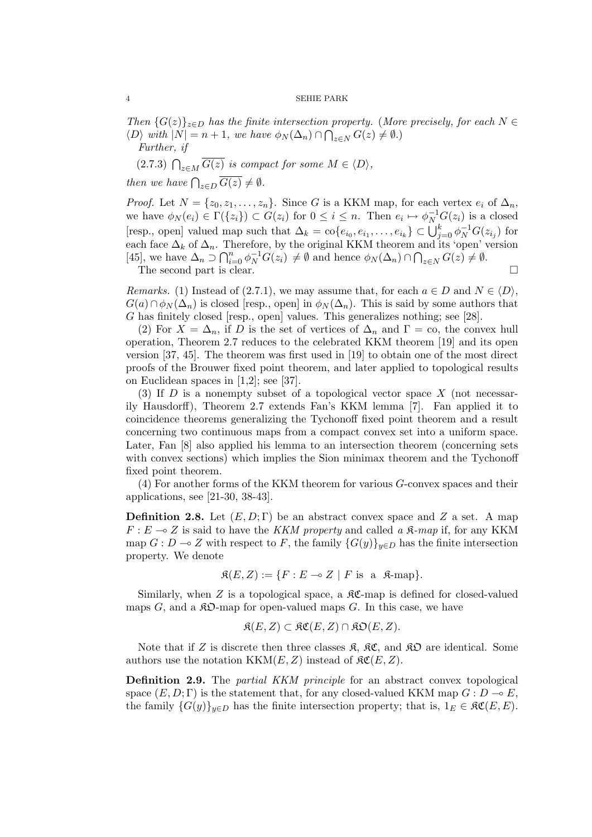*Then*  ${G(z)}_{z \in D}$  *has the finite intersection property.* (*More precisely, for each*  $N \in$  $\langle D \rangle$  *with*  $|N| = n + 1$ *, we have*  $\phi_N(\Delta_n) \cap \bigcap_{z \in N} G(z) \neq \emptyset$ *.*) *Further, if*

 $(2.7.3)$   $\bigcap_{z \in M} \overline{G(z)}$  *is compact for some*  $M \in \langle D \rangle$ *,* 

*then we have*  $\bigcap_{z \in D} \overline{G(z)} \neq \emptyset$ *.* 

*Proof.* Let  $N = \{z_0, z_1, \ldots, z_n\}$ . Since *G* is a KKM map, for each vertex  $e_i$  of  $\Delta_n$ , we have  $\phi_N(e_i) \in \Gamma({z_i}) \subset G(z_i)$  for  $0 \leq i \leq n$ . Then  $e_i \mapsto \phi_N^{-1}G(z_i)$  is a closed [resp., open] valued map such that  $\Delta_k = \text{co}\{e_{i_0}, e_{i_1}, \dots, e_{i_k}\} \subset \bigcup_{j=0}^k \phi_N^{-1}G(z_{i_j})$  for each face  $\Delta_k$  of  $\Delta_n$ . Therefore, by the original KKM theorem and its 'open' version [45], we have  $\Delta_n \supset \bigcap_{i=0}^n \phi_N^{-1}G(z_i) \neq \emptyset$  and hence  $\phi_N(\Delta_n) \cap \bigcap_{z \in N} G(z) \neq \emptyset$ .

The second part is clear.  $\Box$ 

*Remarks.* (1) Instead of (2.7.1), we may assume that, for each  $a \in D$  and  $N \in \langle D \rangle$ ,  $G(a) \cap \phi_N(\Delta_n)$  is closed [resp., open] in  $\phi_N(\Delta_n)$ . This is said by some authors that *G* has finitely closed [resp., open] values. This generalizes nothing; see [28].

(2) For  $X = \Delta_n$ , if *D* is the set of vertices of  $\Delta_n$  and  $\Gamma = \infty$ , the convex hull operation, Theorem 2.7 reduces to the celebrated KKM theorem [19] and its open version [37, 45]. The theorem was first used in [19] to obtain one of the most direct proofs of the Brouwer fixed point theorem, and later applied to topological results on Euclidean spaces in [1,2]; see [37].

(3) If *D* is a nonempty subset of a topological vector space *X* (not necessarily Hausdorff), Theorem 2.7 extends Fan's KKM lemma [7]. Fan applied it to coincidence theorems generalizing the Tychonoff fixed point theorem and a result concerning two continuous maps from a compact convex set into a uniform space. Later, Fan [8] also applied his lemma to an intersection theorem (concerning sets with convex sections) which implies the Sion minimax theorem and the Tychonoff fixed point theorem.

(4) For another forms of the KKM theorem for various *G*-convex spaces and their applications, see [21-30, 38-43].

**Definition 2.8.** Let  $(E, D; \Gamma)$  be an abstract convex space and Z a set. A map  $F: E \to Z$  is said to have the *KKM property* and called *a*  $\mathcal{R}-map$  if, for any KKM map *G* : *D* → *Z* with respect to *F*, the family  ${G(y)}_{y∈D}$  has the finite intersection property. We denote

$$
\mathfrak{K}(E,Z) := \{ F : E \multimap Z \mid F \text{ is a } \mathfrak{K}\text{-map} \}.
$$

Similarly, when  $Z$  is a topological space, a  $\mathcal{RC}$ -map is defined for closed-valued maps  $G$ , and a  $\mathcal{R}D$ -map for open-valued maps  $G$ . In this case, we have

$$
\mathfrak{K}(E,Z) \subset \mathfrak{KC}(E,Z) \cap \mathfrak{KD}(E,Z).
$$

Note that if *Z* is discrete then three classes  $\mathfrak{K}$ ,  $\mathfrak{K}\mathfrak{C}$ , and  $\mathfrak{K}\mathfrak{O}$  are identical. Some authors use the notation  $KKM(E, Z)$  instead of  $\mathfrak{RC}(E, Z)$ .

**Definition 2.9.** The *partial KKM principle* for an abstract convex topological space  $(E, D; \Gamma)$  is the statement that, for any closed-valued KKM map  $G: D \to E$ , the family  ${G(y)}_{y\in D}$  has the finite intersection property; that is,  $1_E \in \mathcal{RC}(E, E)$ .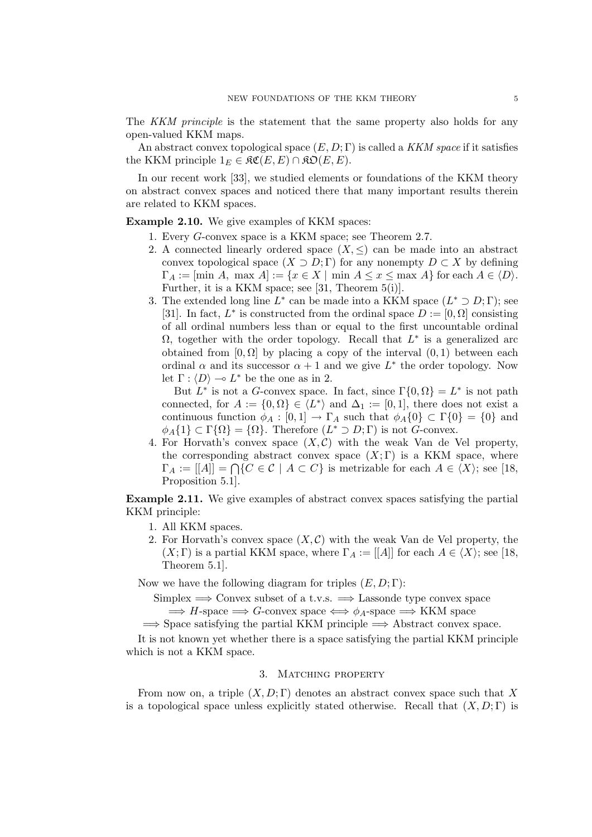The *KKM principle* is the statement that the same property also holds for any open-valued KKM maps.

An abstract convex topological space (*E, D*; Γ) is called a *KKM space* if it satisfies the KKM principle  $1_F$  ∈ RC(*E*, *E*) ∩ RO(*E*, *E*).

In our recent work [33], we studied elements or foundations of the KKM theory on abstract convex spaces and noticed there that many important results therein are related to KKM spaces.

# **Example 2.10.** We give examples of KKM spaces:

- 1. Every *G*-convex space is a KKM space; see Theorem 2.7.
- 2. A connected linearly ordered space  $(X, \leq)$  can be made into an abstract convex topological space  $(X \supset D; \Gamma)$  for any nonempty  $D \subset X$  by defining  $\Gamma_A := \{\text{min } A, \text{ max } A\} := \{x \in X \mid \text{min } A \leq x \leq \text{max } A\}$  for each  $A \in \langle D \rangle$ . Further, it is a KKM space; see [31, Theorem 5(i)].
- 3. The extended long line  $L^*$  can be made into a KKM space  $(L^* \supset D; \Gamma)$ ; see [31]. In fact,  $L^*$  is constructed from the ordinal space  $D := [0, \Omega]$  consisting of all ordinal numbers less than or equal to the first uncountable ordinal  $\Omega$ , together with the order topology. Recall that  $L^*$  is a generalized arc obtained from  $[0, \Omega]$  by placing a copy of the interval  $(0, 1)$  between each ordinal  $\alpha$  and its successor  $\alpha + 1$  and we give  $L^*$  the order topology. Now let  $\Gamma : \langle D \rangle \longrightarrow L^*$  be the one as in 2.

But  $L^*$  is not a *G*-convex space. In fact, since  $\Gamma\{0, \Omega\} = L^*$  is not path connected, for  $A := \{0, \Omega\} \in \langle L^* \rangle$  and  $\Delta_1 := [0, 1]$ , there does not exist a continuous function  $\phi_A : [0,1] \to \Gamma_A$  such that  $\phi_A\{0\} \subset \Gamma\{0\} = \{0\}$  and  $\phi_A\{1\} \subset \Gamma\{\Omega\} = \{\Omega\}$ . Therefore  $(L^* \supset D; \Gamma)$  is not *G*-convex.

4. For Horvath's convex space  $(X, \mathcal{C})$  with the weak Van de Vel property, the corresponding abstract convex space  $(X; \Gamma)$  is a KKM space, where  $\Gamma_A := [[A]] = \bigcap \{ C \in \mathcal{C} \mid A \subset C \}$  is metrizable for each  $A \in \langle X \rangle$ ; see [18, Proposition 5.1].

**Example 2.11.** We give examples of abstract convex spaces satisfying the partial KKM principle:

- 1. All KKM spaces.
- 2. For Horvath's convex space  $(X, \mathcal{C})$  with the weak Van de Vel property, the  $(X; \Gamma)$  is a partial KKM space, where  $\Gamma_A := [[A]]$  for each  $A \in \langle X \rangle$ ; see [18, Theorem 5.1].

Now we have the following diagram for triples (*E, D*; Γ):

Simplex =*⇒* Convex subset of a t.v.s. =*⇒* Lassonde type convex space  $\implies$  *H*-space  $\implies$  *G*-convex space  $\iff \phi_A$ -space  $\implies$  KKM space

=*⇒* Space satisfying the partial KKM principle =*⇒* Abstract convex space.

It is not known yet whether there is a space satisfying the partial KKM principle which is not a KKM space.

### 3. Matching property

From now on, a triple  $(X, D; \Gamma)$  denotes an abstract convex space such that X is a topological space unless explicitly stated otherwise. Recall that  $(X, D; \Gamma)$  is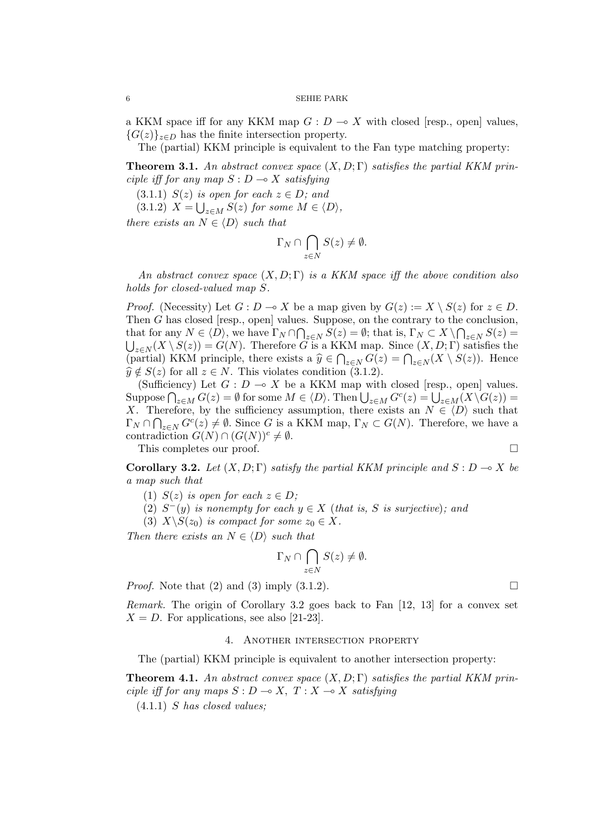a KKM space iff for any KKM map  $G: D \to X$  with closed [resp., open] values,  ${G(z)}_{z \in D}$  has the finite intersection property.

The (partial) KKM principle is equivalent to the Fan type matching property:

**Theorem 3.1.** *An abstract convex space* (*X, D*; Γ) *satisfies the partial KKM principle iff for any map*  $S: D \to X$  *satisfying* 

(3.1.1)  $S(z)$  *is open for each*  $z \in D$ *; and* 

 $(X.1.2)$   $X = \bigcup_{z \in M} S(z)$  for some  $M \in \langle D \rangle$ ,

*there exists an*  $N \in \langle D \rangle$  *such that* 

$$
\Gamma_N \cap \bigcap_{z \in N} S(z) \neq \emptyset.
$$

*An abstract convex space* (*X, D*; Γ) *is a KKM space iff the above condition also holds for closed-valued map S.*

*Proof.* (Necessity) Let  $G : D \to X$  be a map given by  $G(z) := X \setminus S(z)$  for  $z \in D$ . Then *G* has closed [resp., open] values. Suppose, on the contrary to the conclusion, that for any  $N \in \langle D \rangle$ , we have  $\Gamma_N \cap \bigcap_{z \in N} S(z) = \emptyset$ ; that is,  $\Gamma_N \subset X \setminus \bigcap_{z \in N} S(z) =$  $\bigcup_{z \in N} (X \setminus S(z)) = G(N)$ . Therefore *G* is a KKM map. Since  $(X, D; \Gamma)$  satisfies the (partial) KKM principle, there exists a  $\hat{y} \in \bigcap_{z \in N} G(z) = \bigcap_{z \in N} (X \setminus S(z))$ . Hence  $\hat{y} \notin S(z)$  for all  $z \in N$ . This violates condition (3.1.2).

(Sufficiency) Let  $G: D \to X$  be a KKM map with closed [resp., open] values. Suppose  $\bigcap_{z \in M} G(z) = \emptyset$  for some  $M \in \langle D \rangle$ . Then  $\bigcup_{z \in M} G^c(z) = \bigcup_{z \in M} (X \setminus G(z)) =$ *X*. Therefore, by the sufficiency assumption, there exists an  $N \in \langle D \rangle$  such that  $\Gamma_N \cap \bigcap_{z \in N} G^c(z) \neq \emptyset$ . Since *G* is a KKM map,  $\Gamma_N \subset G(N)$ . Therefore, we have a contradiction  $G(N) \cap (G(N))^c \neq \emptyset$ .

This completes our proof.  $\Box$ 

**Corollary 3.2.** Let  $(X, D; \Gamma)$  *satisfy the partial KKM principle and*  $S: D \to X$  *be a map such that*

(1)  $S(z)$  *is open for each*  $z \in D$ ;

(2)  $S^{-}(y)$  *is nonempty for each*  $y \in X$  (*that is, S is surjective*)*; and* 

(3)  $X \setminus S(z_0)$  *is compact for some*  $z_0 \in X$ *.* 

*Then there exists an*  $N \in \langle D \rangle$  *such that* 

$$
\Gamma_N \cap \bigcap_{z \in N} S(z) \neq \emptyset.
$$

*Proof.* Note that (2) and (3) imply (3.1.2).  $\square$ 

*Remark.* The origin of Corollary 3.2 goes back to Fan [12, 13] for a convex set  $X = D$ . For applications, see also [21-23].

#### 4. Another intersection property

The (partial) KKM principle is equivalent to another intersection property:

**Theorem 4.1.** *An abstract convex space* (*X, D*; Γ) *satisfies the partial KKM principle iff for any maps*  $S: D \to X$ ,  $T: X \to X$  *satisfying* 

(4.1.1) *S has closed values;*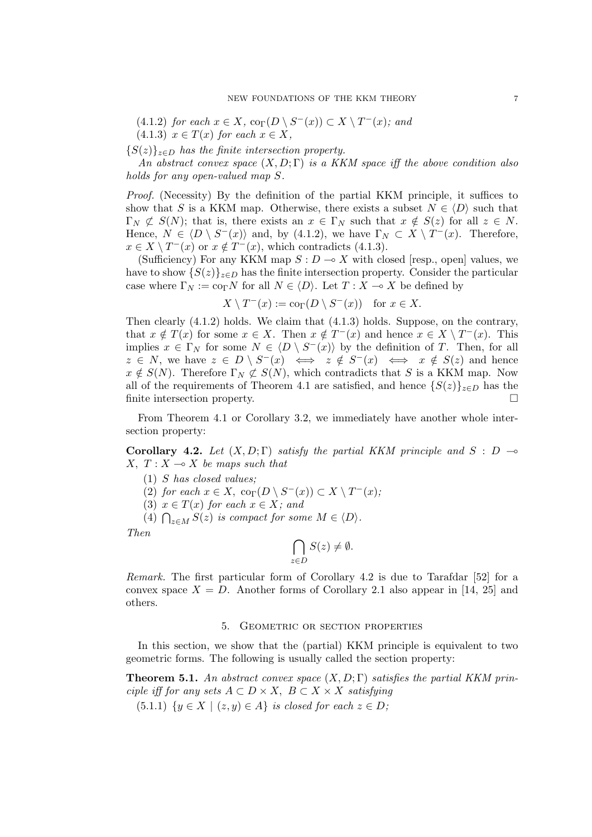$(4.1.2)$  *for each*  $x \in X$ ,  $\text{co}_{\Gamma}(D \setminus S^{-}(x)) \subset X \setminus T^{-}(x)$ ; and

 $(4.1.3)$   $x \in T(x)$  for each  $x \in X$ ,

 ${S(z)}_{z \in D}$  *has the finite intersection property.* 

*An abstract convex space* (*X, D*; Γ) *is a KKM space iff the above condition also holds for any open-valued map S.*

*Proof.* (Necessity) By the definition of the partial KKM principle, it suffices to show that *S* is a KKM map. Otherwise, there exists a subset  $N \in \langle D \rangle$  such that  $\Gamma_N \not\subset S(N)$ ; that is, there exists an  $x \in \Gamma_N$  such that  $x \notin S(z)$  for all  $z \in N$ . Hence,  $N \in \langle D \setminus S^{-}(x) \rangle$  and, by (4.1.2), we have  $\Gamma_N \subset X \setminus T^{-}(x)$ . Therefore,  $x \in X \setminus T^-(x)$  or  $x \notin T^-(x)$ , which contradicts (4.1.3).

(Sufficiency) For any KKM map  $S: D \to X$  with closed [resp., open] values, we have to show  ${S(z)}_{z \in D}$  has the finite intersection property. Consider the particular case where  $\Gamma_N := \text{co}_\Gamma N$  for all  $N \in \langle D \rangle$ . Let  $T : X \to X$  be defined by

$$
X \setminus T^-(x) := \text{co}_{\Gamma}(D \setminus S^-(x)) \quad \text{for } x \in X.
$$

Then clearly (4.1.2) holds. We claim that (4.1.3) holds. Suppose, on the contrary, that  $x \notin T(x)$  for some  $x \in X$ . Then  $x \notin T^-(x)$  and hence  $x \in X \setminus T^-(x)$ . This implies  $x \in \Gamma_N$  for some  $N \in \langle D \setminus S^-(x) \rangle$  by the definition of *T*. Then, for all  $z \in N$ , we have  $z \in D \setminus S^{-}(x) \iff z \notin S^{-}(x) \iff x \notin S(z)$  and hence  $x \notin S(N)$ . Therefore  $\Gamma_N \not\subset S(N)$ , which contradicts that *S* is a KKM map. Now all of the requirements of Theorem 4.1 are satisfied, and hence  $\{S(z)\}_{z \in D}$  has the finite intersection property. finite intersection property.

From Theorem 4.1 or Corollary 3.2, we immediately have another whole intersection property:

**Corollary 4.2.** *Let*  $(X, D; \Gamma)$  *satisfy the partial KKM principle and*  $S : D \rightarrow$ *X*,  $T: X \rightarrow X$  *be maps such that* 

- (1) *S has closed values;*
- $(2)$  *for each*  $x \in X$ ,  $\operatorname{co}_{\Gamma}(D \setminus S^{-}(x)) \subset X \setminus T^{-}(x)$ ;
- (3)  $x \in T(x)$  *for each*  $x \in X$ *; and*
- (4)  $\bigcap_{z \in M} S(z)$  *is compact for some*  $M \in \langle D \rangle$ *.*

*Then*

$$
\bigcap_{z \in D} S(z) \neq \emptyset.
$$

*Remark.* The first particular form of Corollary 4.2 is due to Tarafdar [52] for a convex space  $X = D$ . Another forms of Corollary 2.1 also appear in [14, 25] and others.

### 5. Geometric or section properties

In this section, we show that the (partial) KKM principle is equivalent to two geometric forms. The following is usually called the section property:

**Theorem 5.1.** *An abstract convex space* (*X, D*; Γ) *satisfies the partial KKM principle iff for any sets*  $A \subset D \times X$ ,  $B \subset X \times X$  *satisfying* (5.1.1)  $\{y \in X \mid (z, y) \in A\}$  *is closed for each*  $z \in D$ ;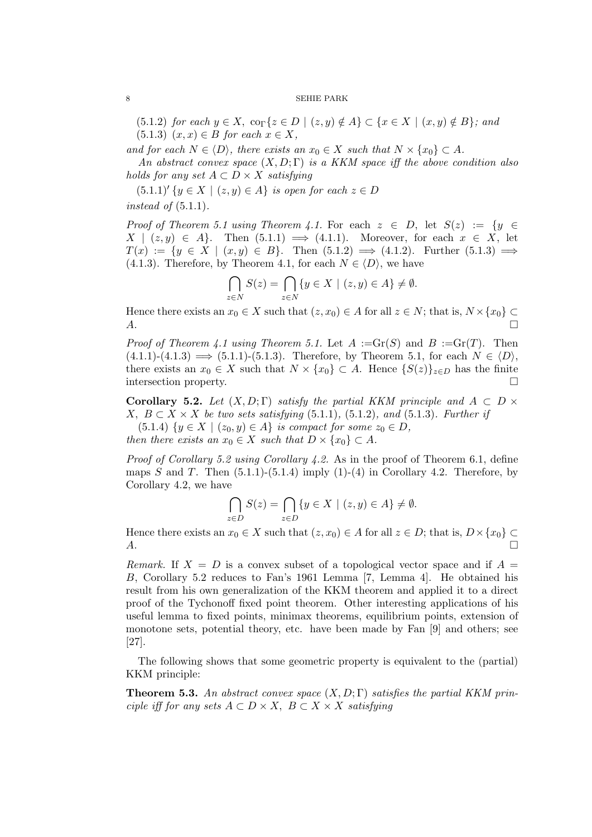(5.1.2) for each  $y \in X$ ,  $\text{co}_{\Gamma}\{z \in D \mid (z, y) \notin A\} \subset \{x \in X \mid (x, y) \notin B\}$ ; and  $(5.1.3)$   $(x, x) \in B$  *for each*  $x \in X$ ,

*and for each*  $N \in \langle D \rangle$ , there exists an  $x_0 \in X$  such that  $N \times \{x_0\} \subset A$ .

*An abstract convex space* (*X, D*; Γ) *is a KKM space iff the above condition also holds for any set*  $A \subset D \times X$  *satisfying* 

(5.1.1)*′ {y ∈ X |* (*z, y*) *∈ A} is open for each z ∈ D instead of* (5.1.1)*.*

*Proof of Theorem 5.1 using Theorem 4.1.* For each  $z \in D$ , let  $S(z) := \{y \in$  $X \mid (z, y) \in A$ <sup>}</sup>. Then (5.1.1)  $\implies$  (4.1.1). Moreover, for each  $x \in X$ , let *T*(*x*) := { $y \in X \mid (x, y) \in B$ }. Then (5.1.2) ⇒ (4.1.2). Further (5.1.3) ⇒ (4.1.3). Therefore, by Theorem 4.1, for each  $N \in \langle D \rangle$ , we have

$$
\bigcap_{z \in N} S(z) = \bigcap_{z \in N} \{ y \in X \mid (z, y) \in A \} \neq \emptyset.
$$

Hence there exists an  $x_0 \in X$  such that  $(z, x_0) \in A$  for all  $z \in N$ ; that is,  $N \times \{x_0\} \subset I$  $A$ .

*Proof of Theorem 4.1 using Theorem 5.1.* Let  $A := Gr(S)$  and  $B := Gr(T)$ . Then  $(4.1.1)-(4.1.3) \implies (5.1.1)-(5.1.3)$ . Therefore, by Theorem 5.1, for each  $N \in \langle D \rangle$ , there exists an  $x_0 \in X$  such that  $N \times \{x_0\} \subset A$ . Hence  $\{S(z)\}_{z \in D}$  has the finite intersection property intersection property.

**Corollary 5.2.** *Let*  $(X, D; \Gamma)$  *satisfy the partial KKM principle and*  $A \subset D$  *× X*, *B* ⊂ *X*  $\times$  *X be two sets satisfying* (5.1.1)*,* (5.1.2*), and* (5.1.3*). Further if* 

 $(5.1.4)$   $\{y \in X \mid (z_0, y) \in A\}$  *is compact for some*  $z_0 \in D$ *, then there exists an*  $x_0 \in X$  *such that*  $D \times \{x_0\} \subset A$ .

*Proof of Corollary 5.2 using Corollary 4.2.* As in the proof of Theorem 6.1, define maps *S* and *T*. Then  $(5.1.1)-(5.1.4)$  imply  $(1)-(4)$  in Corollary 4.2. Therefore, by Corollary 4.2, we have

$$
\bigcap_{z \in D} S(z) = \bigcap_{z \in D} \{ y \in X \mid (z, y) \in A \} \neq \emptyset.
$$

Hence there exists an  $x_0 \in X$  such that  $(z, x_0) \in A$  for all  $z \in D$ ; that is,  $D \times \{x_0\} \subset \{x_0\}$  $A$ .

*Remark.* If  $X = D$  is a convex subset of a topological vector space and if  $A =$ *B*, Corollary 5.2 reduces to Fan's 1961 Lemma [7, Lemma 4]. He obtained his result from his own generalization of the KKM theorem and applied it to a direct proof of the Tychonoff fixed point theorem. Other interesting applications of his useful lemma to fixed points, minimax theorems, equilibrium points, extension of monotone sets, potential theory, etc. have been made by Fan [9] and others; see [27].

The following shows that some geometric property is equivalent to the (partial) KKM principle:

**Theorem 5.3.** *An abstract convex space* (*X, D*; Γ) *satisfies the partial KKM principle iff for any sets*  $A \subset D \times X$ ,  $B \subset X \times X$  *satisfying*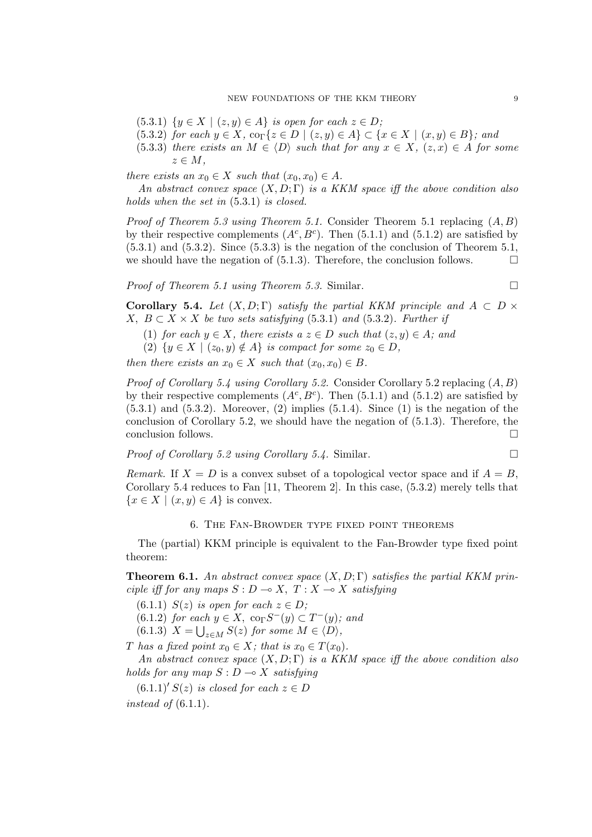- $(5.3.1)$   $\{y \in X \mid (z, y) \in A\}$  *is open for each*  $z \in D$ ;
- $(5.3.2)$  for each  $y \in X$ ,  $\text{co}_{\Gamma}\{z \in D \mid (z, y) \in A\} \subset \{x \in X \mid (x, y) \in B\}$ ; and
- (5.3.3) *there exists an*  $M \in \langle D \rangle$  *such that for any*  $x \in X$ ,  $(z, x) \in A$  *for some z ∈ M,*

*there exists an*  $x_0 \in X$  *such that*  $(x_0, x_0) \in A$ *.* 

*An abstract convex space* (*X, D*; Γ) *is a KKM space iff the above condition also holds when the set in* (5*.*3*.*1) *is closed.*

*Proof of Theorem 5.3 using Theorem 5.1.* Consider Theorem 5.1 replacing (*A, B*) by their respective complements  $(A^c, B^c)$ . Then  $(5.1.1)$  and  $(5.1.2)$  are satisfied by  $(5.3.1)$  and  $(5.3.2)$ . Since  $(5.3.3)$  is the negation of the conclusion of Theorem 5.1, we should have the negation of (5.1.3). Therefore, the conclusion follows.  $\Box$ 

*Proof of Theorem 5.1 using Theorem 5.3.* Similar.  $\Box$ 

**Corollary 5.4.** *Let*  $(X, D; \Gamma)$  *satisfy the partial KKM principle and*  $A \subset D \times D$ *X*, *B* ⊂ *X*  $\times$  *X be two sets satisfying* (5.3.1) *and* (5.3.2)*. Further if* 

(1) *for each*  $y \in X$ *, there exists a*  $z \in D$  *such that*  $(z, y) \in A$ *; and* 

 $(2) \{y \in X \mid (z_0, y) \notin A\}$  *is compact for some*  $z_0 \in D$ *,* 

*then there exists an*  $x_0 \in X$  *such that*  $(x_0, x_0) \in B$ *.* 

*Proof of Corollary 5.4 using Corollary 5.2.* Consider Corollary 5.2 replacing (*A, B*) by their respective complements  $(A^c, B^c)$ . Then  $(5.1.1)$  and  $(5.1.2)$  are satisfied by  $(5.3.1)$  and  $(5.3.2)$ . Moreover,  $(2)$  implies  $(5.1.4)$ . Since  $(1)$  is the negation of the conclusion of Corollary 5.2, we should have the negation of (5.1.3). Therefore, the conclusion follows.

*Proof of Corollary 5.2 using Corollary 5.4.* Similar. ¤

*Remark.* If  $X = D$  is a convex subset of a topological vector space and if  $A = B$ , Corollary 5.4 reduces to Fan [11, Theorem 2]. In this case, (5.3.2) merely tells that  ${x \in X \mid (x, y) \in A}$  is convex.

### 6. The Fan-Browder type fixed point theorems

The (partial) KKM principle is equivalent to the Fan-Browder type fixed point theorem:

**Theorem 6.1.** *An abstract convex space* (*X, D*; Γ) *satisfies the partial KKM principle iff for any maps*  $S: D \to X$ ,  $T: X \to X$  *satisfying* 

(6.1.1)  $S(z)$  *is open for each*  $z \in D$ ;

 $(6.1.2)$  *for each*  $y \in X$ ,  $\text{co}_{\Gamma}S^{-}(y) \subset T^{-}(y)$ *; and* 

 $(6.1.3)$   $X = \bigcup_{z \in M} S(z)$  for some  $M \in \langle D \rangle$ ,

*T* has a fixed point  $x_0 \in X$ ; that is  $x_0 \in T(x_0)$ .

*An abstract convex space* (*X, D*; Γ) *is a KKM space iff the above condition also holds for any map*  $S: D \to X$  *satisfying* 

 $(6.1.1)'$  *S* $(z)$  *is closed for each*  $z \in D$ 

*instead of* (6.1.1)*.*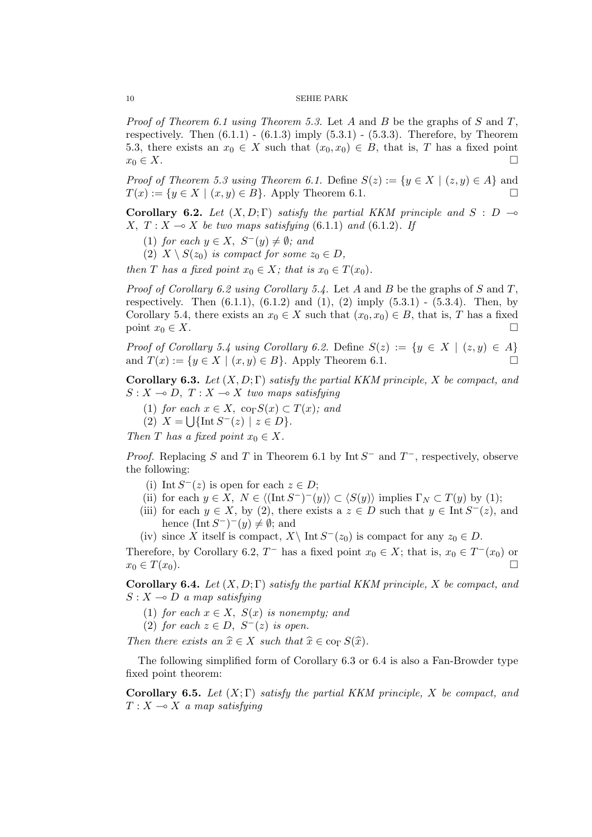*Proof of Theorem 6.1 using Theorem 5.3.* Let *A* and *B* be the graphs of *S* and *T*, respectively. Then  $(6.1.1)$  -  $(6.1.3)$  imply  $(5.3.1)$  -  $(5.3.3)$ . Therefore, by Theorem 5.3, there exists an  $x_0 \in X$  such that  $(x_0, x_0) \in B$ , that is, *T* has a fixed point  $x_0 \in X$ .

*Proof of Theorem 5.3 using Theorem 6.1.* Define  $S(z) := \{y \in X \mid (z, y) \in A\}$  and *T*(*x*) := {*y* ∈ *X* | (*x, y*) ∈ *B*}. Apply Theorem 6.1. □

**Corollary 6.2.** *Let*  $(X, D; \Gamma)$  *satisfy the partial KKM principle and*  $S : D \rightarrow$ *X*,  $T: X \rightarrow X$  *be two maps satisfying* (6.1.1) *and* (6.1.2)*.* If

- (1) *for each*  $y \in X$ ,  $S^{-}(y) \neq \emptyset$ *; and*
- (2)  $X \setminus S(z_0)$  *is compact for some*  $z_0 \in D$ *,*

*then T has a fixed point*  $x_0 \in X$ *; that is*  $x_0 \in T(x_0)$ *.* 

*Proof of Corollary 6.2 using Corollary 5.4.* Let *A* and *B* be the graphs of *S* and *T*, respectively. Then  $(6.1.1)$ ,  $(6.1.2)$  and  $(1)$ ,  $(2)$  imply  $(5.3.1)$  -  $(5.3.4)$ . Then, by Corollary 5.4, there exists an  $x_0 \in X$  such that  $(x_0, x_0) \in B$ , that is, *T* has a fixed point  $x_0 \in X$ .

*Proof of Corollary 5.4 using Corollary 6.2.* Define  $S(z) := \{y \in X \mid (z, y) \in A\}$ and  $T(x) := \{y \in X \mid (x, y) \in B\}$ . Apply Theorem 6.1.

**Corollary 6.3.** *Let* (*X, D*; Γ) *satisfy the partial KKM principle, X be compact, and*  $S: X \rightarrow D, T: X \rightarrow X$  *two maps satisfying* 

- $(1)$  *for each*  $x \in X$ ,  $\text{co}_{\Gamma}S(x) \subset T(x)$ *; and*
- $(2)$   $X = \bigcup \{ \text{Int } S^{-}(z) \mid z \in D \}.$

*Then T* has a fixed point  $x_0 \in X$ .

*Proof.* Replacing *S* and *T* in Theorem 6.1 by Int *S*<sup>−</sup> and *T*<sup>−</sup>, respectively, observe the following:

- (i) Int  $S<sup>−</sup>(z)$  is open for each  $z \in D$ ;
- (ii) for each  $y \in X$ ,  $N \in \langle (\text{Int } S^-)^-(y) \rangle \subset \langle S(y) \rangle$  implies  $\Gamma_N \subset T(y)$  by (1);
- (iii) for each  $y \in X$ , by (2), there exists a  $z \in D$  such that  $y \in \text{Int } S^-(z)$ , and hence  $(\text{Int } S^-)$ <sup>-</sup> $(y) \neq \emptyset$ ; and
- (iv) since *X* itself is compact,  $X \setminus \text{Int } S^-(z_0)$  is compact for any  $z_0 \in D$ .

Therefore, by Corollary 6.2,  $T^-$  has a fixed point  $x_0 \in X$ ; that is,  $x_0 \in T^-(x_0)$  or  $x_0 \in T(x_0).$ 

**Corollary 6.4.** *Let* (*X, D*; Γ) *satisfy the partial KKM principle, X be compact, and*  $S: X \rightarrow D$  *a map satisfying* 

- (1) *for each*  $x \in X$ ,  $S(x)$  *is nonempty; and*
- (2) *for each*  $z \in D$ ,  $S^{-}(z)$  *is open.*

*Then there exists an*  $\hat{x} \in X$  *such that*  $\hat{x} \in \text{co}_\Gamma S(\hat{x})$ *.* 

The following simplified form of Corollary 6.3 or 6.4 is also a Fan-Browder type fixed point theorem:

**Corollary 6.5.** *Let* (*X*; Γ) *satisfy the partial KKM principle, X be compact, and*  $T: X \longrightarrow X$  *a map satisfying*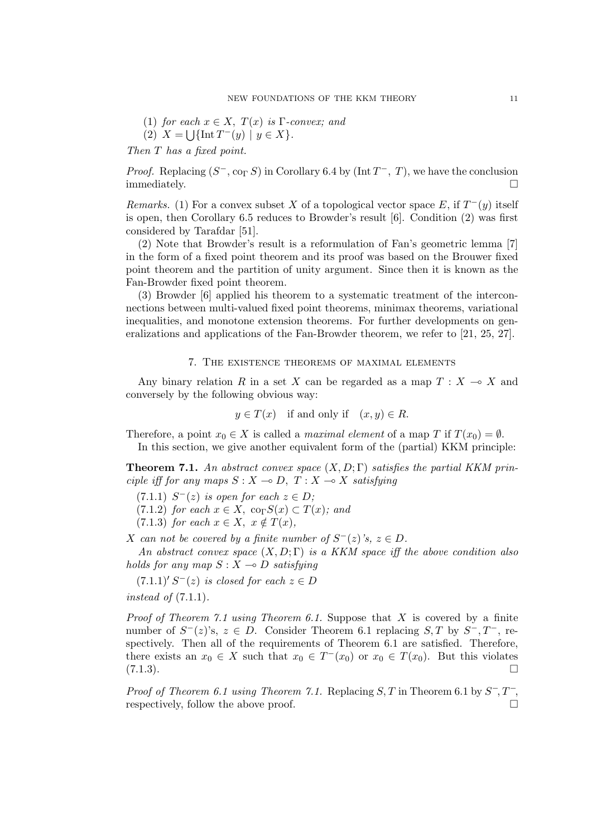(1) for each 
$$
x \in X
$$
,  $T(x)$  is  $\Gamma$ -convex; and

(2) 
$$
X = \bigcup \{ \text{Int } T^-(y) \mid y \in X \}.
$$

*Then T has a fixed point.*

*Proof.* Replacing  $(S^-, \text{co}_\Gamma S)$  in Corollary 6.4 by (Int  $T^-$ , T), we have the conclusion immediately.

*Remarks.* (1) For a convex subset *X* of a topological vector space *E*, if  $T^-(y)$  itself is open, then Corollary 6.5 reduces to Browder's result [6]. Condition (2) was first considered by Tarafdar [51].

(2) Note that Browder's result is a reformulation of Fan's geometric lemma [7] in the form of a fixed point theorem and its proof was based on the Brouwer fixed point theorem and the partition of unity argument. Since then it is known as the Fan-Browder fixed point theorem.

(3) Browder [6] applied his theorem to a systematic treatment of the interconnections between multi-valued fixed point theorems, minimax theorems, variational inequalities, and monotone extension theorems. For further developments on generalizations and applications of the Fan-Browder theorem, we refer to [21, 25, 27].

### 7. The existence theorems of maximal elements

Any binary relation *R* in a set *X* can be regarded as a map  $T : X \to X$  and conversely by the following obvious way:

$$
y \in T(x)
$$
 if and only if  $(x, y) \in R$ .

Therefore, a point  $x_0 \in X$  is called a *maximal element* of a map *T* if  $T(x_0) = \emptyset$ . In this section, we give another equivalent form of the (partial) KKM principle:

**Theorem 7.1.** *An abstract convex space* (*X, D*; Γ) *satisfies the partial KKM principle iff for any maps*  $S: X \to D$ ,  $T: X \to X$  *satisfying* 

 $(7.1.1)$   $S^{-}(z)$  *is open for each*  $z \in D$ ;

 $(7.1.2)$  *for each*  $x \in X$ ,  $\text{co}_{\Gamma}S(x) \subset T(x)$ *; and* 

 $(7.1.3)$  *for each*  $x \in X$ ,  $x \notin T(x)$ ,

*X can not be covered by a finite number of*  $S^{-}(z)$ *'s,*  $z \in D$ *.* 

*An abstract convex space* (*X, D*; Γ) *is a KKM space iff the above condition also holds for any map*  $S: X \rightarrow D$  *satisfying* 

 $(7.1.1)'$   $S^{-}(z)$  *is closed for each*  $z \in D$ 

*instead of* (7.1.1)*.*

*Proof of Theorem 7.1 using Theorem 6.1.* Suppose that *X* is covered by a finite number of  $S^{-}(z)$ 's,  $z \in D$ . Consider Theorem 6.1 replacing  $S, T$  by  $S^{-}, T^{-}$ , respectively. Then all of the requirements of Theorem 6.1 are satisfied. Therefore, there exists an  $x_0 \in X$  such that  $x_0 \in T^-(x_0)$  or  $x_0 \in T(x_0)$ . But this violates  $(7.1.3)$ .

*Proof of Theorem 6.1 using Theorem 7.1.* Replacing  $S$ ,  $T$  in Theorem 6.1 by  $S^-$ ,  $T^-$ , respectively, follow the above proof.  $\Box$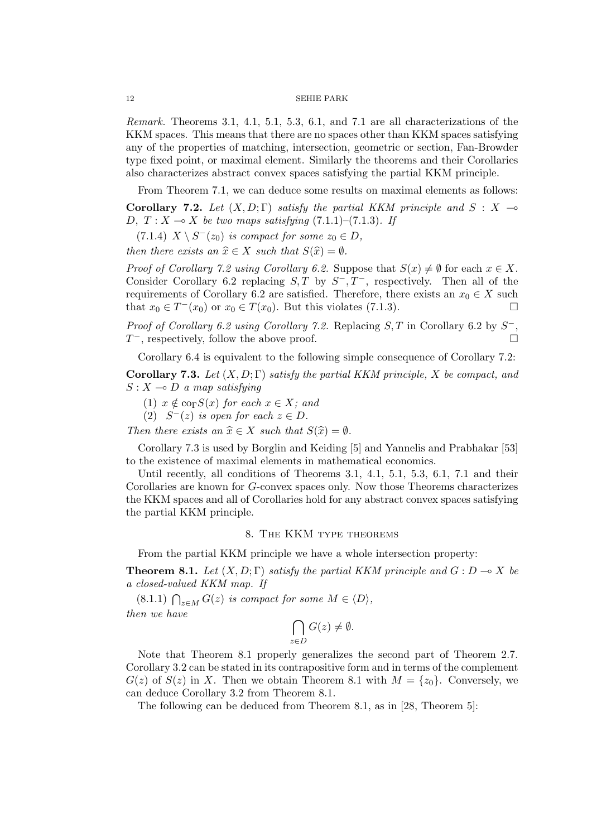*Remark.* Theorems 3.1, 4.1, 5.1, 5.3, 6.1, and 7.1 are all characterizations of the KKM spaces. This means that there are no spaces other than KKM spaces satisfying any of the properties of matching, intersection, geometric or section, Fan-Browder type fixed point, or maximal element. Similarly the theorems and their Corollaries also characterizes abstract convex spaces satisfying the partial KKM principle.

From Theorem 7.1, we can deduce some results on maximal elements as follows:

**Corollary 7.2.** *Let*  $(X, D; \Gamma)$  *satisfy the partial KKM principle and*  $S: X \rightarrow$ *D,*  $T: X \to X$  *be two maps satisfying* (7.1.1)–(7.1.3)*.* If

 $(X.1.4)$   $X \setminus S^{-}(z_0)$  *is compact for some*  $z_0 \in D$ ,

*then there exists an*  $\hat{x} \in X$  *such that*  $S(\hat{x}) = \emptyset$ *.* 

*Proof of Corollary 7.2 using Corollary 6.2.* Suppose that  $S(x) \neq \emptyset$  for each  $x \in X$ . Consider Corollary 6.2 replacing *S*, *T* by  $S^-$ ,  $T^-$ , respectively. Then all of the requirements of Corollary 6.2 are satisfied. Therefore, there exists an  $x_0 \in X$  such that  $x_0 \in T^-(x_0)$  or  $x_0 \in T(x_0)$ . But this violates (7.1.3).

*Proof of Corollary 6.2 using Corollary 7.2.* Replacing *S, T* in Corollary 6.2 by *S −*, *T*<sup>−</sup>, respectively, follow the above proof.  $□$ 

Corollary 6.4 is equivalent to the following simple consequence of Corollary 7.2:

**Corollary 7.3.** *Let* (*X, D*; Γ) *satisfy the partial KKM principle, X be compact, and*  $S: X \rightarrow D$  *a map satisfying* 

- $(1)$   $x \notin \text{co}_{\Gamma}S(x)$  *for each*  $x \in X$ *; and*
- (2)  $S<sup>−</sup>(z)$  *is open for each*  $z \in D$ *.*

*Then there exists an*  $\hat{x} \in X$  *such that*  $S(\hat{x}) = \emptyset$ *.* 

Corollary 7.3 is used by Borglin and Keiding [5] and Yannelis and Prabhakar [53] to the existence of maximal elements in mathematical economics.

Until recently, all conditions of Theorems 3.1, 4.1, 5.1, 5.3, 6.1, 7.1 and their Corollaries are known for *G*-convex spaces only. Now those Theorems characterizes the KKM spaces and all of Corollaries hold for any abstract convex spaces satisfying the partial KKM principle.

# 8. The KKM type theorems

From the partial KKM principle we have a whole intersection property:

**Theorem 8.1.** Let  $(X, D; \Gamma)$  *satisfy the partial KKM principle and*  $G: D \to X$  *be a closed-valued KKM map. If*

 $(8.1.1)$   $\bigcap_{z \in M} G(z)$  *is compact for some*  $M \in \langle D \rangle$ , *then we have*

$$
\bigcap_{z \in D} G(z) \neq \emptyset.
$$

Note that Theorem 8.1 properly generalizes the second part of Theorem 2.7. Corollary 3.2 can be stated in its contrapositive form and in terms of the complement  $G(z)$  of  $S(z)$  in *X*. Then we obtain Theorem 8.1 with  $M = \{z_0\}$ . Conversely, we can deduce Corollary 3.2 from Theorem 8.1.

The following can be deduced from Theorem 8.1, as in [28, Theorem 5]: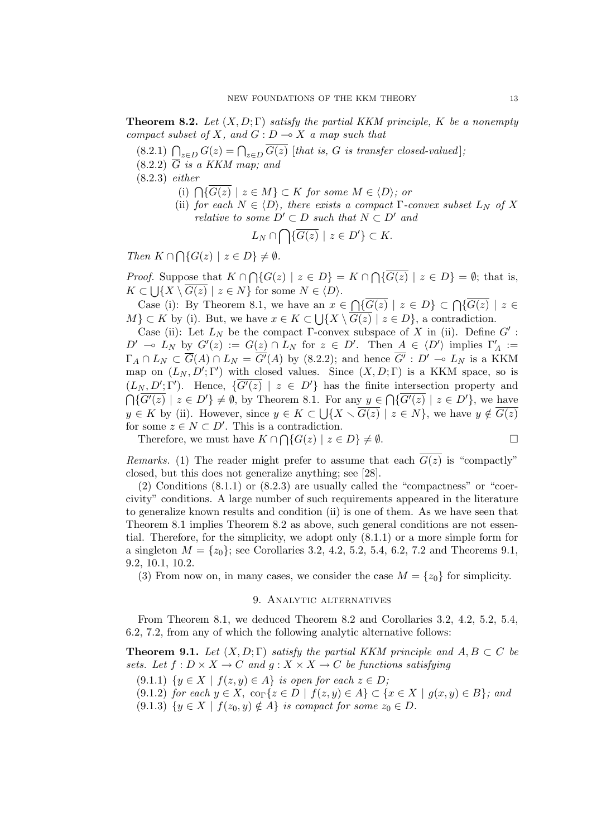**Theorem 8.2.** Let  $(X, D; \Gamma)$  *satisfy the partial KKM principle, K be a nonempty compact subset of*  $X$ *, and*  $G: D \rightarrow X$  *a map such that* 

 $(8.2.1)$   $\bigcap_{z \in D} G(z) = \bigcap_{z \in D} \overline{G(z)}$  [*that is, G is transfer closed-valued*];

 $(8.2.2)$   $\overline{G}$  *is a KKM map; and* 

(8.2.3) *either*

 $(i) \bigcap \{ \overline{G(z)} \mid z \in M \}$  ⊂ *K for some*  $M \in \langle D \rangle$ *; or* 

(ii) *for each*  $N \in \langle D \rangle$ *, there exists a compact*  $\Gamma$ *-convex subset*  $L_N$  *of*  $X$ *relative to some*  $D' \subset D$  *such that*  $N \subset D'$  *and* 

$$
L_N \cap \bigcap \{ \overline{G(z)} \mid z \in D' \} \subset K.
$$

 $Then K \cap \bigcap \{G(z) \mid z \in D\} \neq \emptyset.$ 

*Proof.* Suppose that  $K \cap \bigcap \{G(z) \mid z \in D\} = K \cap \bigcap \{\overline{G(z)} \mid z \in D\} = \emptyset$ ; that is,  $K \subset \bigcup \{ X \setminus \overline{G(z)} \mid z \in N \}$  for some  $N \in \langle D \rangle$ .

Case (i): By Theorem 8.1, we have an  $x \in \bigcap \{ \overline{G(z)} \mid z \in D \} \subset \bigcap \{ \overline{G(z)} \mid z \in \mathbb{Z} \}$ *M*<sup>}</sup> ⊂ *K* by (i). But, we have  $x \in K \subset \bigcup \{ X \setminus \overline{G(z)} \mid z \in D \}$ , a contradiction.

Case (ii): Let  $L_N$  be the compact  $\Gamma$ -convex subspace of  $X$  in (ii). Define  $G'$ :  $D' \multimap L_N$  by  $G'(z) := G(z) \cap L_N$  for  $z \in D'$ . Then  $A \in \langle D' \rangle$  implies  $\Gamma'_A :=$  $\Gamma_A \cap L_N \subset G(A) \cap L_N = G'(A)$  by (8.2.2); and hence  $G' : D' \to L_N$  is a KKM map on  $(L_N, D'; \Gamma')$  with closed values. Since  $(X, D; \Gamma)$  is a KKM space, so is  $(L_N, D'; \Gamma')$ . Hence,  $\{G'(z) \mid z \in D'\}$  has the finite intersection property and  $\bigcap \{\overline{G'(z)} \mid z \in D'\}\neq \emptyset$ , by Theorem 8.1. For any  $y \in \bigcap \{\overline{G'(z)} \mid z \in D'\}$ , we have *y* ∈ *K* by (ii). However, since *y* ∈ *K* ⊂  $\bigcup \{X \setminus \overline{G(z)} \mid z \in N\}$ , we have *y* ∉  $\overline{G(z)}$ for some  $z \in N \subset D'$ . This is a contradiction.

Therefore, we must have  $K \cap \bigcap \{G(z) \mid z \in D\} \neq \emptyset$ .

*Remarks.* (1) The reader might prefer to assume that each 
$$
\overline{G(z)}
$$
 is "compactly" closed, but this does not generalize anything; see [28].

(2) Conditions (8.1.1) or (8.2.3) are usually called the "compactness" or "coercivity" conditions. A large number of such requirements appeared in the literature to generalize known results and condition (ii) is one of them. As we have seen that Theorem 8.1 implies Theorem 8.2 as above, such general conditions are not essential. Therefore, for the simplicity, we adopt only (8.1.1) or a more simple form for a singleton  $M = \{z_0\}$ ; see Corollaries 3.2, 4.2, 5.2, 5.4, 6.2, 7.2 and Theorems 9.1, 9.2, 10.1, 10.2.

(3) From now on, in many cases, we consider the case  $M = \{z_0\}$  for simplicity.

#### 9. Analytic alternatives

From Theorem 8.1, we deduced Theorem 8.2 and Corollaries 3.2, 4.2, 5.2, 5.4, 6.2, 7.2, from any of which the following analytic alternative follows:

**Theorem 9.1.** *Let*  $(X, D; \Gamma)$  *satisfy the partial KKM principle and*  $A, B \subset C$  *be sets.* Let  $f: D \times X \to C$  and  $g: X \times X \to C$  be functions satisfying

 $(9.1.1)$   $\{y \in X \mid f(z, y) \in A\}$  *is open for each*  $z \in D$ ;

 $(9.1.2)$  for each  $y \in X$ ,  $\operatorname{co}_{\Gamma}\{z \in D \mid f(z, y) \in A\} \subset \{x \in X \mid g(x, y) \in B\}$ ; and

(9.1.3)  $\{y \in X \mid f(z_0, y) \notin A\}$  *is compact for some*  $z_0 \in D$ *.*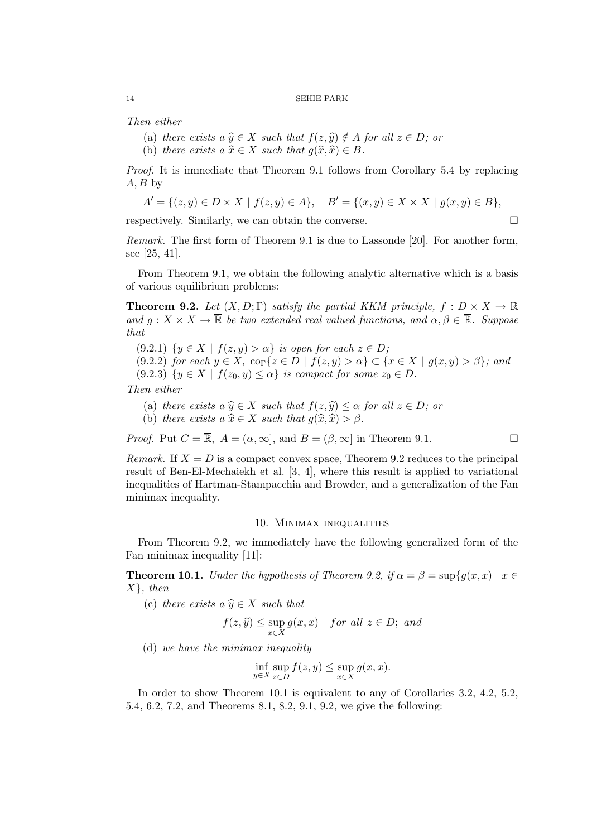*Then either*

- (a) *there exists a*  $\hat{y} \in X$  *such that*  $f(z, \hat{y}) \notin A$  *for all*  $z \in D$ *; or*
- (b) *there exists a*  $\hat{x} \in X$  *such that*  $g(\hat{x}, \hat{x}) \in B$ *.*

*Proof.* It is immediate that Theorem 9.1 follows from Corollary 5.4 by replacing *A, B* by

$$
A' = \{(z, y) \in D \times X \mid f(z, y) \in A\}, \quad B' = \{(x, y) \in X \times X \mid g(x, y) \in B\},\
$$

respectively. Similarly, we can obtain the converse.  $\Box$ 

*Remark.* The first form of Theorem 9.1 is due to Lassonde [20]. For another form, see [25, 41].

From Theorem 9.1, we obtain the following analytic alternative which is a basis of various equilibrium problems:

**Theorem 9.2.** Let  $(X, D; \Gamma)$  satisfy the partial KKM principle,  $f : D \times X \to \overline{\mathbb{R}}$ *and*  $g: X \times X \to \overline{\mathbb{R}}$  *be two extended real valued functions, and*  $\alpha, \beta \in \overline{\mathbb{R}}$ *. Suppose that*

 $(9.2.1)$   $\{y \in X \mid f(z, y) > \alpha\}$  *is open for each*  $z \in D$ ;

 $(9.2.2)$  for each  $y \in X$ ,  $\operatorname{co}_{\Gamma}\{z \in D \mid f(z,y) > \alpha\} \subset \{x \in X \mid g(x,y) > \beta\}$ ; and (9.2.3)  $\{y \in X \mid f(z_0, y) \leq \alpha\}$  *is compact for some*  $z_0 \in D$ *.* 

*Then either*

- (a) *there exists a*  $\hat{y} \in X$  *such that*  $f(z, \hat{y}) \leq \alpha$  *for all*  $z \in D$ *; or*
- (b) *there exists a*  $\hat{x} \in X$  *such that*  $g(\hat{x}, \hat{x}) > \beta$ *.*

*Proof.* Put  $C = \overline{\mathbb{R}}$ ,  $A = (\alpha, \infty]$ , and  $B = (\beta, \infty]$  in Theorem 9.1.

*Remark.* If  $X = D$  is a compact convex space, Theorem 9.2 reduces to the principal result of Ben-El-Mechaiekh et al. [3, 4], where this result is applied to variational inequalities of Hartman-Stampacchia and Browder, and a generalization of the Fan minimax inequality.

### 10. Minimax inequalities

From Theorem 9.2, we immediately have the following generalized form of the Fan minimax inequality [11]:

**Theorem 10.1.** *Under the hypothesis of Theorem 9.2, if*  $\alpha = \beta = \sup\{q(x, x) \mid x \in$ *X}, then*

(c) *there exists a*  $\hat{y} \in X$  *such that* 

$$
f(z, \hat{y}) \le \sup_{x \in X} g(x, x) \quad \text{for all } z \in D; \text{ and}
$$

(d) *we have the minimax inequality*

$$
\inf_{y \in X} \sup_{z \in D} f(z, y) \le \sup_{x \in X} g(x, x).
$$

In order to show Theorem 10.1 is equivalent to any of Corollaries 3.2, 4.2, 5.2, 5.4, 6.2, 7.2, and Theorems 8.1, 8.2, 9.1, 9.2, we give the following: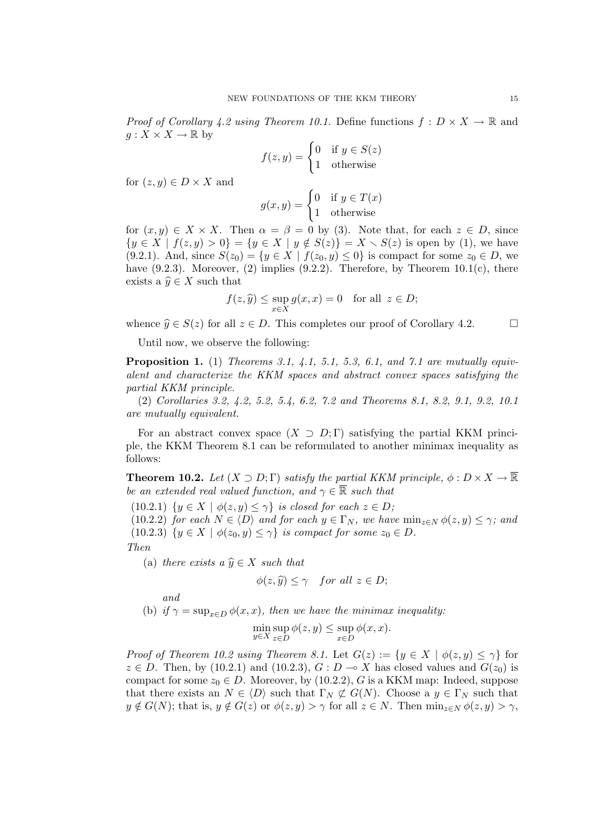*Proof of Corollary 4.2 using Theorem 10.1.* Define functions  $f: D \times X \to \mathbb{R}$  and  $g: X \times X \to \mathbb{R}$  by

$$
f(z, y) = \begin{cases} 0 & \text{if } y \in S(z) \\ 1 & \text{otherwise} \end{cases}
$$

for  $(z, y) \in D \times X$  and

$$
g(x, y) = \begin{cases} 0 & \text{if } y \in T(x) \\ 1 & \text{otherwise} \end{cases}
$$

for  $(x, y) \in X \times X$ . Then  $\alpha = \beta = 0$  by (3). Note that, for each  $z \in D$ , since  $\{y \in X \mid f(z, y) > 0\} = \{y \in X \mid y \notin S(z)\} = X \setminus S(z)$  is open by (1), we have (9.2.1). And, since  $S(z_0) = \{ y \in X \mid f(z_0, y) \le 0 \}$  is compact for some  $z_0 \in D$ , we have  $(9.2.3)$ . Moreover,  $(2)$  implies  $(9.2.2)$ . Therefore, by Theorem 10.1 $(c)$ , there exists a  $\hat{y} \in X$  such that

$$
f(z, \hat{y}) \le \sup_{x \in X} g(x, x) = 0 \quad \text{for all } z \in D;
$$

whence  $\hat{y} \in S(z)$  for all  $z \in D$ . This completes our proof of Corollary 4.2.

Until now, we observe the following:

**Proposition 1.** (1) *Theorems 3.1, 4.1, 5.1, 5.3, 6.1, and 7.1 are mutually equivalent and characterize the KKM spaces and abstract convex spaces satisfying the partial KKM principle.*

(2) *Corollaries 3.2, 4.2, 5.2, 5.4, 6.2, 7.2 and Theorems 8.1, 8.2, 9.1, 9.2, 10.1 are mutually equivalent.*

For an abstract convex space  $(X \supset D; \Gamma)$  satisfying the partial KKM principle, the KKM Theorem 8.1 can be reformulated to another minimax inequality as follows:

**Theorem 10.2.** Let  $(X \supset D; \Gamma)$  *satisfy the partial KKM principle,*  $\phi: D \times X \to \mathbb{R}$ *be an extended real valued function, and*  $\gamma \in \mathbb{R}$  *such that* 

 $(10.2.1)$   $\{y \in X \mid \phi(z, y) \leq \gamma\}$  *is closed for each*  $z \in D$ ;

(10.2.2) *for each*  $N \in \langle D \rangle$  *and for each*  $y \in \Gamma_N$ *, we have*  $\min_{z \in N} \phi(z, y) \leq \gamma$ *; and* (10.2.3)  $\{y \in X \mid \phi(z_0, y) \leq \gamma\}$  *is compact for some*  $z_0 \in D$ *. Then*

(a) *there exists a*  $\hat{y} \in X$  *such that* 

$$
\phi(z,\widehat{y}) \le \gamma \quad \text{for all } z \in D;
$$

*and*

(b) *if*  $\gamma = \sup_{x \in D} \phi(x, x)$ *, then we have the minimax inequality:* 

$$
\min_{y \in X} \sup_{z \in D} \phi(z, y) \le \sup_{x \in D} \phi(x, x).
$$

*Proof of Theorem 10.2 using Theorem 8.1.* Let  $G(z) := \{y \in X \mid \phi(z, y) \leq \gamma\}$  for *z* ∈ *D*. Then, by (10.2.1) and (10.2.3), *G* : *D* → *X* has closed values and *G*(*z*<sub>0</sub>) is compact for some  $z_0 \in D$ . Moreover, by (10.2.2), *G* is a KKM map: Indeed, suppose that there exists an  $N \in \langle D \rangle$  such that  $\Gamma_N \not\subset G(N)$ . Choose a  $y \in \Gamma_N$  such that  $y \notin G(N)$ ; that is,  $y \notin G(z)$  or  $\phi(z, y) > \gamma$  for all  $z \in N$ . Then  $\min_{z \in N} \phi(z, y) > \gamma$ ,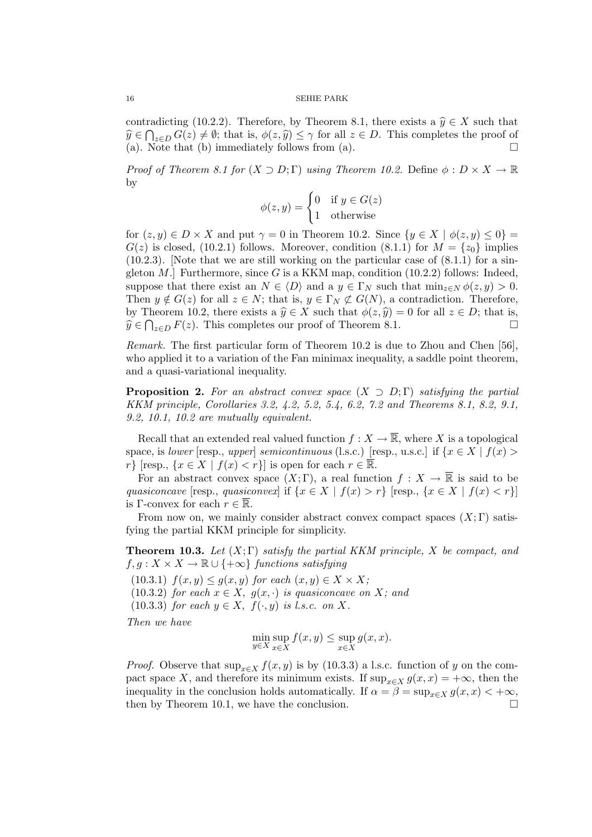contradicting (10.2.2). Therefore, by Theorem 8.1, there exists a  $\hat{y} \in X$  such that  $\hat{y} \in \bigcap_{z \in D} G(z) \neq \emptyset$ ; that is,  $\phi(z, \hat{y}) \leq \gamma$  for all  $z \in D$ . This completes the proof of  $(a)$ . Note that  $(b)$  immediately follows from  $(a)$ .

*Proof of Theorem 8.1 for*  $(X \supset D; \Gamma)$  *using Theorem 10.2.* Define  $\phi : D \times X \to \mathbb{R}$ by

$$
\phi(z, y) = \begin{cases} 0 & \text{if } y \in G(z) \\ 1 & \text{otherwise} \end{cases}
$$

for  $(z, y) \in D \times X$  and put  $\gamma = 0$  in Theorem 10.2. Since  $\{y \in X \mid \phi(z, y) \leq 0\}$  $G(z)$  is closed, (10.2.1) follows. Moreover, condition (8.1.1) for  $M = \{z_0\}$  implies  $(10.2.3)$ . [Note that we are still working on the particular case of  $(8.1.1)$  for a singleton  $M$ .] Furthermore, since  $G$  is a KKM map, condition  $(10.2.2)$  follows: Indeed, suppose that there exist an  $N \in \langle D \rangle$  and a  $y \in \Gamma_N$  such that  $\min_{z \in N} \phi(z, y) > 0$ . Then  $y \notin G(z)$  for all  $z \in N$ ; that is,  $y \in \Gamma_N \not\subset G(N)$ , a contradiction. Therefore, by Theorem 10.2, there exists a  $\hat{y} \in X$  such that  $\phi(z, \hat{y}) = 0$  for all  $z \in D$ ; that is,  $\hat{y} \in \bigcap_{z \in E(z)} F(z)$ . This completes our proof of Theorem 8.1  $\hat{y} \in \bigcap_{z \in D} F(z)$ . This completes our proof of Theorem 8.1.  $\Box$ 

*Remark.* The first particular form of Theorem 10.2 is due to Zhou and Chen [56], who applied it to a variation of the Fan minimax inequality, a saddle point theorem, and a quasi-variational inequality.

**Proposition 2.** For an abstract convex space  $(X \supset D; \Gamma)$  satisfying the partial *KKM principle, Corollaries 3.2, 4.2, 5.2, 5.4, 6.2, 7.2 and Theorems 8.1, 8.2, 9.1, 9.2, 10.1, 10.2 are mutually equivalent.*

Recall that an extended real valued function  $f: X \to \overline{\mathbb{R}}$ , where *X* is a topological space, is *lower* [resp., *upper*] *semicontinuous* (l.s.c.) [resp., u.s.c.] if  $\{x \in X \mid f(x) >$ *r*<sup>}</sup> [resp.,  $\{x \in X \mid f(x) < r\}$ ] is open for each  $r \in \overline{\mathbb{R}}$ .

For an abstract convex space  $(X;\Gamma)$ , a real function  $f: X \to \overline{\mathbb{R}}$  is said to be *quasiconcave* [resp., *quasiconvex*] if  $\{x \in X \mid f(x) > r\}$  [resp.,  $\{x \in X \mid f(x) < r\}$ ] is Γ-convex for each  $r \in \overline{\mathbb{R}}$ .

From now on, we mainly consider abstract convex compact spaces  $(X; \Gamma)$  satisfying the partial KKM principle for simplicity.

**Theorem 10.3.** *Let* (*X*; Γ) *satisfy the partial KKM principle, X be compact, and f, g* : *X* × *X* →  $\mathbb{R}$  ∪ {+∞} *functions satisfying* 

 $f(x, y) \leq g(x, y)$  *for each*  $(x, y) \in X \times X$ ; (10.3.2) *for each*  $x \in X$ ,  $g(x, \cdot)$  *is quasiconcave on* X; and (10.3.3) *for each*  $y \in X$ ,  $f(\cdot, y)$  *is l.s.c. on X.* 

*Then we have*

$$
\min_{y \in X} \sup_{x \in X} f(x, y) \le \sup_{x \in X} g(x, x).
$$

*Proof.* Observe that  $\sup_{x \in X} f(x, y)$  is by (10.3.3) a l.s.c. function of *y* on the compact space *X*, and therefore its minimum exists. If  $\sup_{x \in X} g(x, x) = +\infty$ , then the inequality in the conclusion holds automatically. If  $\alpha = \beta = \sup_{x \in X} g(x, x) < +\infty$ , then by Theorem 10.1, we have the conclusion then by Theorem  $10.1$ , we have the conclusion.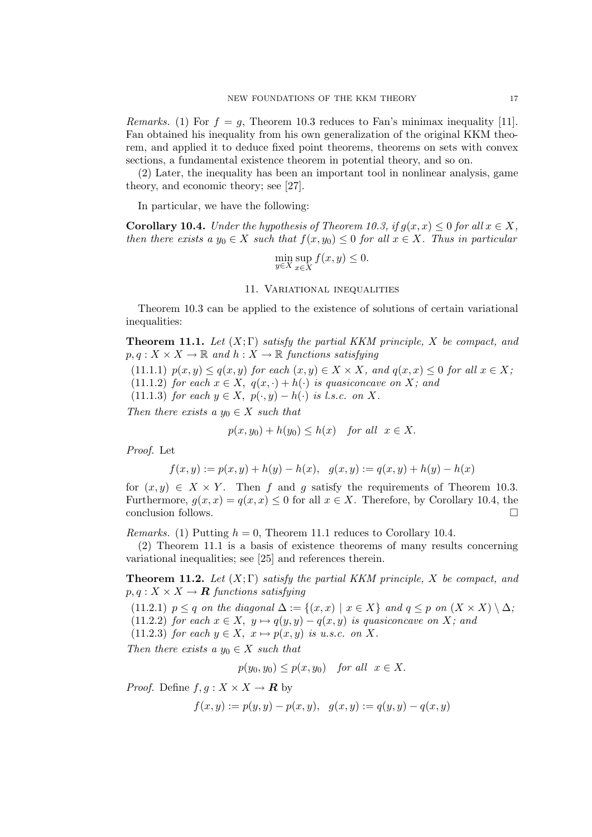*Remarks.* (1) For  $f = g$ , Theorem 10.3 reduces to Fan's minimax inequality [11]. Fan obtained his inequality from his own generalization of the original KKM theorem, and applied it to deduce fixed point theorems, theorems on sets with convex sections, a fundamental existence theorem in potential theory, and so on.

(2) Later, the inequality has been an important tool in nonlinear analysis, game theory, and economic theory; see [27].

In particular, we have the following:

**Corollary 10.4.** *Under the hypothesis of Theorem 10.3, if*  $q(x, x) \leq 0$  *for all*  $x \in X$ *, then there exists a*  $y_0 \in X$  *such that*  $f(x, y_0) \leq 0$  *for all*  $x \in X$ *. Thus in particular* 

$$
\min_{y \in X} \sup_{x \in X} f(x, y) \le 0.
$$

#### 11. Variational inequalities

Theorem 10.3 can be applied to the existence of solutions of certain variational inequalities:

**Theorem 11.1.** *Let* (*X*; Γ) *satisfy the partial KKM principle, X be compact, and*  $p, q: X \times X \to \mathbb{R}$  and  $h: X \to \mathbb{R}$  functions satisfying

 $p(x, y) \leq q(x, y)$  *for each*  $(x, y) \in X \times X$ *, and*  $q(x, x) \leq 0$  *for all*  $x \in X$ ; (11.1.2) *for each*  $x \in X$ ,  $q(x, \cdot) + h(\cdot)$  *is quasiconcave on X;* and (11.1.3) *for each*  $y \in X$ ,  $p(\cdot, y) - h(\cdot)$  *is l.s.c. on X.* 

*Then there exists a*  $y_0 \in X$  *such that* 

$$
p(x, y_0) + h(y_0) \le h(x) \quad for all \quad x \in X.
$$

*Proof.* Let

$$
f(x, y) := p(x, y) + h(y) - h(x), \quad g(x, y) := q(x, y) + h(y) - h(x)
$$

for  $(x, y) \in X \times Y$ . Then *f* and *g* satisfy the requirements of Theorem 10.3. Furthermore,  $g(x, x) = q(x, x) \leq 0$  for all  $x \in X$ . Therefore, by Corollary 10.4, the conclusion follows.

*Remarks.* (1) Putting  $h = 0$ , Theorem 11.1 reduces to Corollary 10.4.

(2) Theorem 11.1 is a basis of existence theorems of many results concerning variational inequalities; see [25] and references therein.

**Theorem 11.2.** *Let* (*X*; Γ) *satisfy the partial KKM principle, X be compact, and*  $p, q: X \times X \rightarrow \mathbf{R}$  *functions satisfying* 

(11.2.1)  $p \leq q$  on the diagonal  $\Delta := \{(x, x) \mid x \in X\}$  and  $q \leq p$  on  $(X \times X) \setminus \Delta$ ;

(11.2.2) *for each*  $x \in X$ ,  $y \mapsto q(y, y) - q(x, y)$  *is quasiconcave on X;* and

 $(11.2.3)$  *for each*  $y \in X$ ,  $x \mapsto p(x, y)$  *is u.s.c. on* X.

*Then there exists a*  $y_0 \in X$  *such that* 

$$
p(y_0, y_0) \le p(x, y_0) \quad \text{for all} \ \ x \in X.
$$

*Proof.* Define  $f, g: X \times X \to \mathbb{R}$  by

$$
f(x, y) := p(y, y) - p(x, y), \quad g(x, y) := q(y, y) - q(x, y)
$$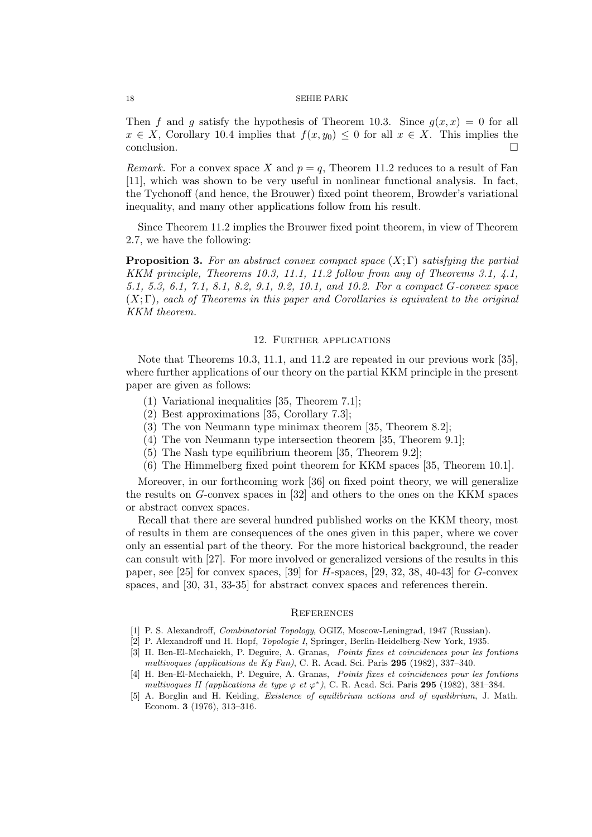Then *f* and *g* satisfy the hypothesis of Theorem 10.3. Since  $g(x, x) = 0$  for all  $x \in X$ , Corollary 10.4 implies that  $f(x, y_0) \leq 0$  for all  $x \in X$ . This implies the  $\Box$ conclusion.

*Remark.* For a convex space *X* and  $p = q$ , Theorem 11.2 reduces to a result of Fan [11], which was shown to be very useful in nonlinear functional analysis. In fact, the Tychonoff (and hence, the Brouwer) fixed point theorem, Browder's variational inequality, and many other applications follow from his result.

Since Theorem 11.2 implies the Brouwer fixed point theorem, in view of Theorem 2.7, we have the following:

**Proposition 3.** *For an abstract convex compact space* (*X*; Γ) *satisfying the partial KKM principle, Theorems 10.3, 11.1, 11.2 follow from any of Theorems 3.1, 4.1, 5.1, 5.3, 6.1, 7.1, 8.1, 8.2, 9.1, 9.2, 10.1, and 10.2. For a compact G-convex space* (*X*; Γ)*, each of Theorems in this paper and Corollaries is equivalent to the original KKM theorem.*

#### 12. Further applications

Note that Theorems 10.3, 11.1, and 11.2 are repeated in our previous work [35], where further applications of our theory on the partial KKM principle in the present paper are given as follows:

- (1) Variational inequalities [35, Theorem 7.1];
- (2) Best approximations [35, Corollary 7.3];
- (3) The von Neumann type minimax theorem [35, Theorem 8.2];
- (4) The von Neumann type intersection theorem [35, Theorem 9.1];
- (5) The Nash type equilibrium theorem [35, Theorem 9.2];
- (6) The Himmelberg fixed point theorem for KKM spaces [35, Theorem 10.1].

Moreover, in our forthcoming work [36] on fixed point theory, we will generalize the results on *G*-convex spaces in [32] and others to the ones on the KKM spaces or abstract convex spaces.

Recall that there are several hundred published works on the KKM theory, most of results in them are consequences of the ones given in this paper, where we cover only an essential part of the theory. For the more historical background, the reader can consult with [27]. For more involved or generalized versions of the results in this paper, see [25] for convex spaces, [39] for *H*-spaces, [29, 32, 38, 40-43] for *G*-convex spaces, and [30, 31, 33-35] for abstract convex spaces and references therein.

#### **REFERENCES**

- [1] P. S. Alexandroff, *Combinatorial Topology*, OGIZ, Moscow-Leningrad, 1947 (Russian).
- [2] P. Alexandroff und H. Hopf, *Topologie I*, Springer, Berlin-Heidelberg-New York, 1935.
- [3] H. Ben-El-Mechaiekh, P. Deguire, A. Granas, *Points fixes et coincidences pour les fontions multivoques (applications de Ky Fan)*, C. R. Acad. Sci. Paris **295** (1982), 337–340.
- [4] H. Ben-El-Mechaiekh, P. Deguire, A. Granas, *Points fixes et coincidences pour les fontions multivoques II (applications de type*  $\varphi$  *et*  $\varphi^*$ ), C. R. Acad. Sci. Paris 295 (1982), 381–384.
- [5] A. Borglin and H. Keiding, *Existence of equilibrium actions and of equilibrium*, J. Math. Econom. **3** (1976), 313–316.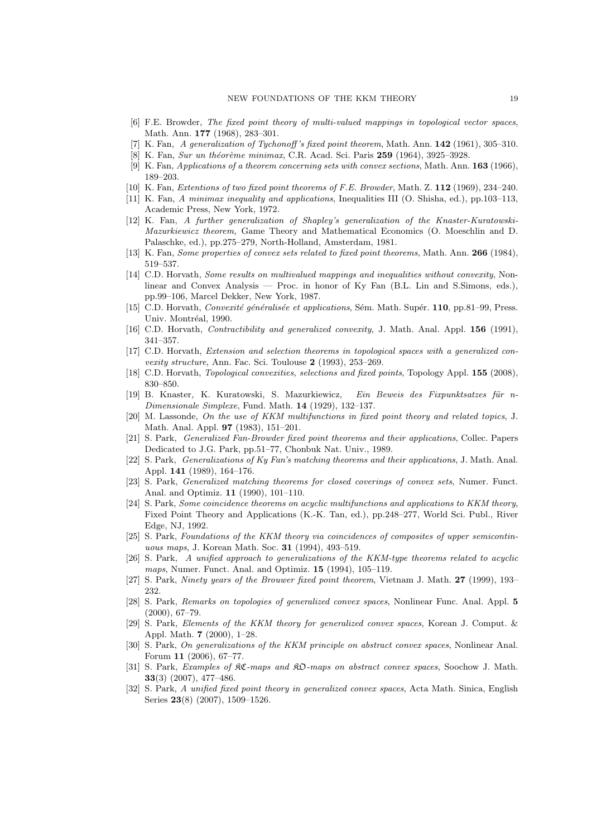- [6] F.E. Browder, *The fixed point theory of multi-valued mappings in topological vector spaces*, Math. Ann. **177** (1968), 283–301.
- [7] K. Fan, *A generalization of Tychonoff 's fixed point theorem*, Math. Ann. **142** (1961), 305–310.
- [8] K. Fan, *Sur un th´eor`eme minimax*, C.R. Acad. Sci. Paris **259** (1964), 3925–3928.
- [9] K. Fan, *Applications of a theorem concerning sets with convex sections*, Math. Ann. **163** (1966), 189–203.
- [10] K. Fan, *Extentions of two fixed point theorems of F.E. Browder*, Math. Z. **112** (1969), 234–240.
- [11] K. Fan, *A minimax inequality and applications*, Inequalities III (O. Shisha, ed.), pp.103–113, Academic Press, New York, 1972.
- [12] K. Fan, *A further generalization of Shapley's generalization of the Knaster-Kuratowski-Mazurkiewicz theorem,* Game Theory and Mathematical Economics (O. Moeschlin and D. Palaschke, ed.), pp.275–279, North-Holland, Amsterdam, 1981.
- [13] K. Fan, *Some properties of convex sets related to fixed point theorems*, Math. Ann. **266** (1984), 519–537.
- [14] C.D. Horvath, *Some results on multivalued mappings and inequalities without convexity*, Nonlinear and Convex Analysis — Proc. in honor of Ky Fan (B.L. Lin and S.Simons, eds.), pp.99–106, Marcel Dekker, New York, 1987.
- [15] C.D. Horvath, *Convexité généralisée et applications*, Sém. Math. Supér. **110**, pp.81–99, Press. Univ. Montréal, 1990.
- [16] C.D. Horvath, *Contractibility and generalized convexity*, J. Math. Anal. Appl. **156** (1991), 341–357.
- [17] C.D. Horvath, *Extension and selection theorems in topological spaces with a generalized convexity structure*, Ann. Fac. Sci. Toulouse **2** (1993), 253–269.
- [18] C.D. Horvath, *Topological convexities, selections and fixed points*, Topology Appl. **155** (2008), 830–850.
- [19] B. Knaster, K. Kuratowski, S. Mazurkiewicz, *Ein Beweis des Fixpunktsatzes f¨ur n-Dimensionale Simplexe*, Fund. Math. **14** (1929), 132–137.
- [20] M. Lassonde, *On the use of KKM multifunctions in fixed point theory and related topics*, J. Math. Anal. Appl. **97** (1983), 151–201.
- [21] S. Park, *Generalized Fan-Browder fixed point theorems and their applications*, Collec. Papers Dedicated to J.G. Park, pp.51–77, Chonbuk Nat. Univ., 1989.
- [22] S. Park, *Generalizations of Ky Fan's matching theorems and their applications*, J. Math. Anal. Appl. **141** (1989), 164–176.
- [23] S. Park, *Generalized matching theorems for closed coverings of convex sets*, Numer. Funct. Anal. and Optimiz. **11** (1990), 101–110.
- [24] S. Park, *Some coincidence theorems on acyclic multifunctions and applications to KKM theory*, Fixed Point Theory and Applications (K.-K. Tan, ed.), pp.248–277, World Sci. Publ., River Edge, NJ, 1992.
- [25] S. Park, *Foundations of the KKM theory via coincidences of composites of upper semicontinuous maps*, J. Korean Math. Soc. **31** (1994), 493–519.
- [26] S. Park, *A unified approach to generalizations of the KKM-type theorems related to acyclic maps*, Numer. Funct. Anal. and Optimiz. **15** (1994), 105–119.
- [27] S. Park, *Ninety years of the Brouwer fixed point theorem*, Vietnam J. Math. **27** (1999), 193– 232.
- [28] S. Park, *Remarks on topologies of generalized convex spaces*, Nonlinear Func. Anal. Appl. **5** (2000), 67–79.
- [29] S. Park, *Elements of the KKM theory for generalized convex spaces*, Korean J. Comput. & Appl. Math. **7** (2000), 1–28.
- [30] S. Park, *On generalizations of the KKM principle on abstract convex spaces*, Nonlinear Anal. Forum **11** (2006), 67–77.
- [31] S. Park, *Examples of* KC*-maps and* KO*-maps on abstract convex spaces*, Soochow J. Math. **33**(3) (2007), 477–486.
- [32] S. Park, *A unified fixed point theory in generalized convex spaces*, Acta Math. Sinica, English Series **23**(8) (2007), 1509–1526.